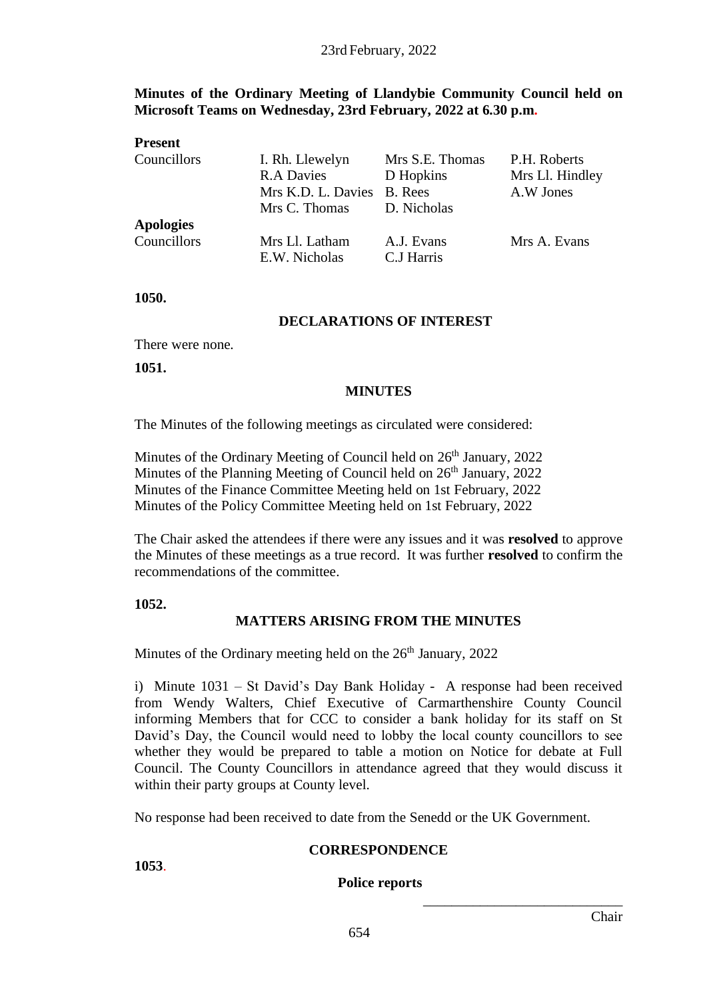# **Minutes of the Ordinary Meeting of Llandybie Community Council held on Microsoft Teams on Wednesday, 23rd February, 2022 at 6.30 p.m.**

| <b>Present</b>   |                            |                 |                 |
|------------------|----------------------------|-----------------|-----------------|
| Councillors      | I. Rh. Llewelyn            | Mrs S.E. Thomas | P.H. Roberts    |
|                  | <b>R.A Davies</b>          | D Hopkins       | Mrs Ll. Hindley |
|                  | Mrs K.D. L. Davies B. Rees |                 | A.W Jones       |
|                  | Mrs C. Thomas              | D. Nicholas     |                 |
| <b>Apologies</b> |                            |                 |                 |
| Councillors      | Mrs Ll. Latham             | A.J. Evans      | Mrs A. Evans    |
|                  | E.W. Nicholas              | C.J Harris      |                 |

**1050.**

#### **DECLARATIONS OF INTEREST**

There were none.

**1051.**

#### **MINUTES**

The Minutes of the following meetings as circulated were considered:

Minutes of the Ordinary Meeting of Council held on  $26<sup>th</sup>$  January, 2022 Minutes of the Planning Meeting of Council held on  $26<sup>th</sup>$  January, 2022 Minutes of the Finance Committee Meeting held on 1st February, 2022 Minutes of the Policy Committee Meeting held on 1st February, 2022

The Chair asked the attendees if there were any issues and it was **resolved** to approve the Minutes of these meetings as a true record. It was further **resolved** to confirm the recommendations of the committee.

**1052.**

# **MATTERS ARISING FROM THE MINUTES**

Minutes of the Ordinary meeting held on the  $26<sup>th</sup>$  January, 2022

i) Minute 1031 – St David's Day Bank Holiday - A response had been received from Wendy Walters, Chief Executive of Carmarthenshire County Council informing Members that for CCC to consider a bank holiday for its staff on St David's Day, the Council would need to lobby the local county councillors to see whether they would be prepared to table a motion on Notice for debate at Full Council. The County Councillors in attendance agreed that they would discuss it within their party groups at County level.

No response had been received to date from the Senedd or the UK Government.

#### **CORRESPONDENCE**

**1053**.

#### **Police reports**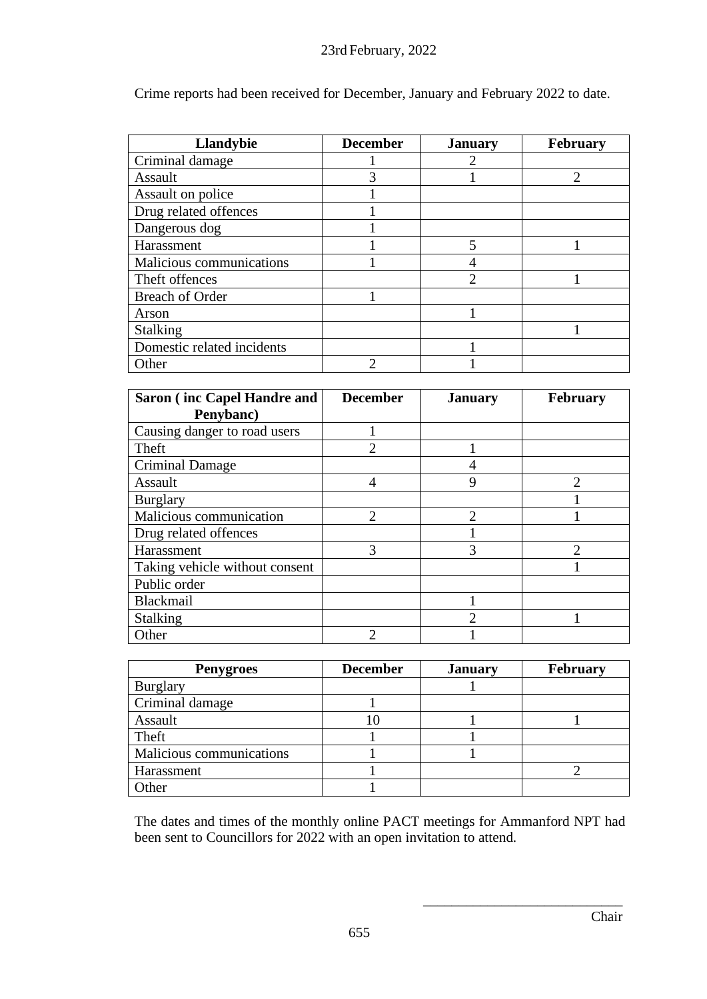Crime reports had been received for December, January and February 2022 to date.

| <b>Llandybie</b>           | <b>December</b> | <b>January</b> | <b>February</b> |
|----------------------------|-----------------|----------------|-----------------|
| Criminal damage            |                 |                |                 |
| Assault                    | 3               |                | റ               |
| Assault on police          |                 |                |                 |
| Drug related offences      |                 |                |                 |
| Dangerous dog              |                 |                |                 |
| Harassment                 |                 | 5              |                 |
| Malicious communications   |                 |                |                 |
| Theft offences             |                 | っ              |                 |
| <b>Breach of Order</b>     |                 |                |                 |
| Arson                      |                 |                |                 |
| <b>Stalking</b>            |                 |                |                 |
| Domestic related incidents |                 |                |                 |
| Other                      | ി               |                |                 |

| <b>Saron</b> (inc Capel Handre and | <b>December</b>             | <b>January</b> | <b>February</b> |
|------------------------------------|-----------------------------|----------------|-----------------|
| Penybanc)                          |                             |                |                 |
| Causing danger to road users       |                             |                |                 |
| Theft                              | $\overline{2}$              |                |                 |
| Criminal Damage                    |                             |                |                 |
| Assault                            | 4                           | 9              | $\mathcal{D}$   |
| <b>Burglary</b>                    |                             |                |                 |
| Malicious communication            | $\mathcal{D}_{\mathcal{L}}$ | $\mathcal{D}$  |                 |
| Drug related offences              |                             |                |                 |
| Harassment                         | 3                           | 3              | $\mathcal{D}$   |
| Taking vehicle without consent     |                             |                |                 |
| Public order                       |                             |                |                 |
| Blackmail                          |                             |                |                 |
| <b>Stalking</b>                    |                             |                |                 |
| Other                              | C                           |                |                 |

| <b>Penygroes</b>         | <b>December</b> | <b>January</b> | <b>February</b> |
|--------------------------|-----------------|----------------|-----------------|
| <b>Burglary</b>          |                 |                |                 |
| Criminal damage          |                 |                |                 |
| Assault                  |                 |                |                 |
| Theft                    |                 |                |                 |
| Malicious communications |                 |                |                 |
| Harassment               |                 |                |                 |
| )ther                    |                 |                |                 |

The dates and times of the monthly online PACT meetings for Ammanford NPT had been sent to Councillors for 2022 with an open invitation to attend.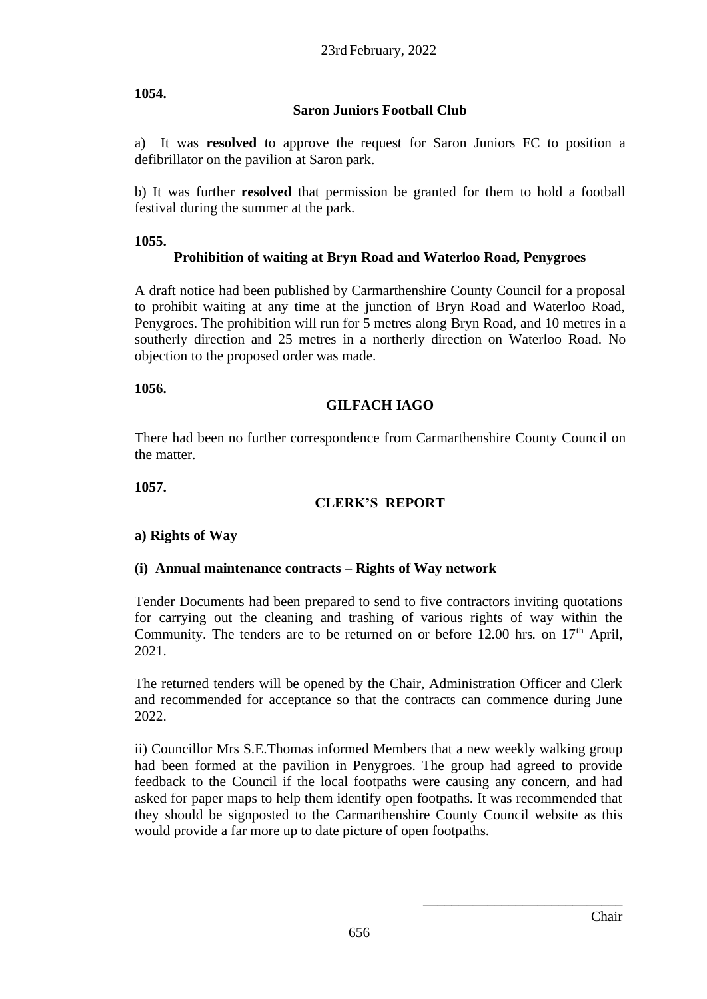# **1054.**

# **Saron Juniors Football Club**

a) It was **resolved** to approve the request for Saron Juniors FC to position a defibrillator on the pavilion at Saron park.

b) It was further **resolved** that permission be granted for them to hold a football festival during the summer at the park.

# **1055.**

# **Prohibition of waiting at Bryn Road and Waterloo Road, Penygroes**

A draft notice had been published by Carmarthenshire County Council for a proposal to prohibit waiting at any time at the junction of Bryn Road and Waterloo Road, Penygroes. The prohibition will run for 5 metres along Bryn Road, and 10 metres in a southerly direction and 25 metres in a northerly direction on Waterloo Road. No objection to the proposed order was made.

**1056.**

# **GILFACH IAGO**

There had been no further correspondence from Carmarthenshire County Council on the matter.

**1057.**

# **CLERK'S REPORT**

#### **a) Rights of Way**

# **(i) Annual maintenance contracts – Rights of Way network**

Tender Documents had been prepared to send to five contractors inviting quotations for carrying out the cleaning and trashing of various rights of way within the Community. The tenders are to be returned on or before 12.00 hrs. on  $17<sup>th</sup>$  April, 2021.

The returned tenders will be opened by the Chair, Administration Officer and Clerk and recommended for acceptance so that the contracts can commence during June 2022.

ii) Councillor Mrs S.E.Thomas informed Members that a new weekly walking group had been formed at the pavilion in Penygroes. The group had agreed to provide feedback to the Council if the local footpaths were causing any concern, and had asked for paper maps to help them identify open footpaths. It was recommended that they should be signposted to the Carmarthenshire County Council website as this would provide a far more up to date picture of open footpaths.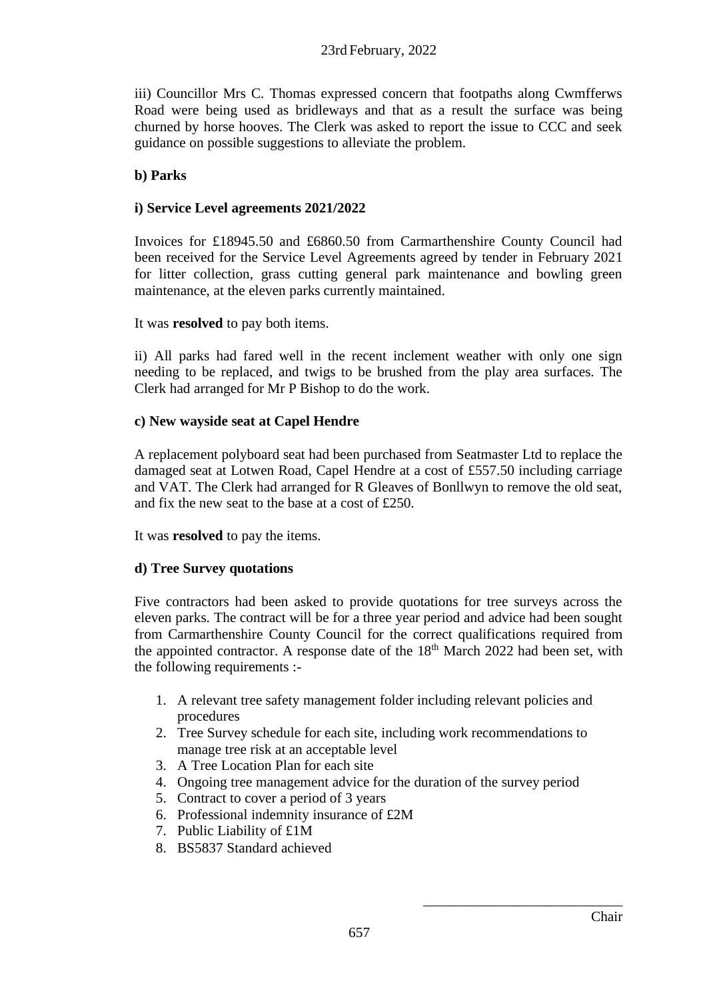iii) Councillor Mrs C. Thomas expressed concern that footpaths along Cwmfferws Road were being used as bridleways and that as a result the surface was being churned by horse hooves. The Clerk was asked to report the issue to CCC and seek guidance on possible suggestions to alleviate the problem.

# **b) Parks**

# **i) Service Level agreements 2021/2022**

Invoices for £18945.50 and £6860.50 from Carmarthenshire County Council had been received for the Service Level Agreements agreed by tender in February 2021 for litter collection, grass cutting general park maintenance and bowling green maintenance, at the eleven parks currently maintained.

It was **resolved** to pay both items.

ii) All parks had fared well in the recent inclement weather with only one sign needing to be replaced, and twigs to be brushed from the play area surfaces. The Clerk had arranged for Mr P Bishop to do the work.

#### **c) New wayside seat at Capel Hendre**

A replacement polyboard seat had been purchased from Seatmaster Ltd to replace the damaged seat at Lotwen Road, Capel Hendre at a cost of £557.50 including carriage and VAT. The Clerk had arranged for R Gleaves of Bonllwyn to remove the old seat, and fix the new seat to the base at a cost of £250.

It was **resolved** to pay the items.

# **d) Tree Survey quotations**

Five contractors had been asked to provide quotations for tree surveys across the eleven parks. The contract will be for a three year period and advice had been sought from Carmarthenshire County Council for the correct qualifications required from the appointed contractor. A response date of the  $18<sup>th</sup>$  March 2022 had been set, with the following requirements :-

- 1. A relevant tree safety management folder including relevant policies and procedures
- 2. Tree Survey schedule for each site, including work recommendations to manage tree risk at an acceptable level
- 3. A Tree Location Plan for each site
- 4. Ongoing tree management advice for the duration of the survey period
- 5. Contract to cover a period of 3 years
- 6. Professional indemnity insurance of £2M
- 7. Public Liability of £1M
- 8. BS5837 Standard achieved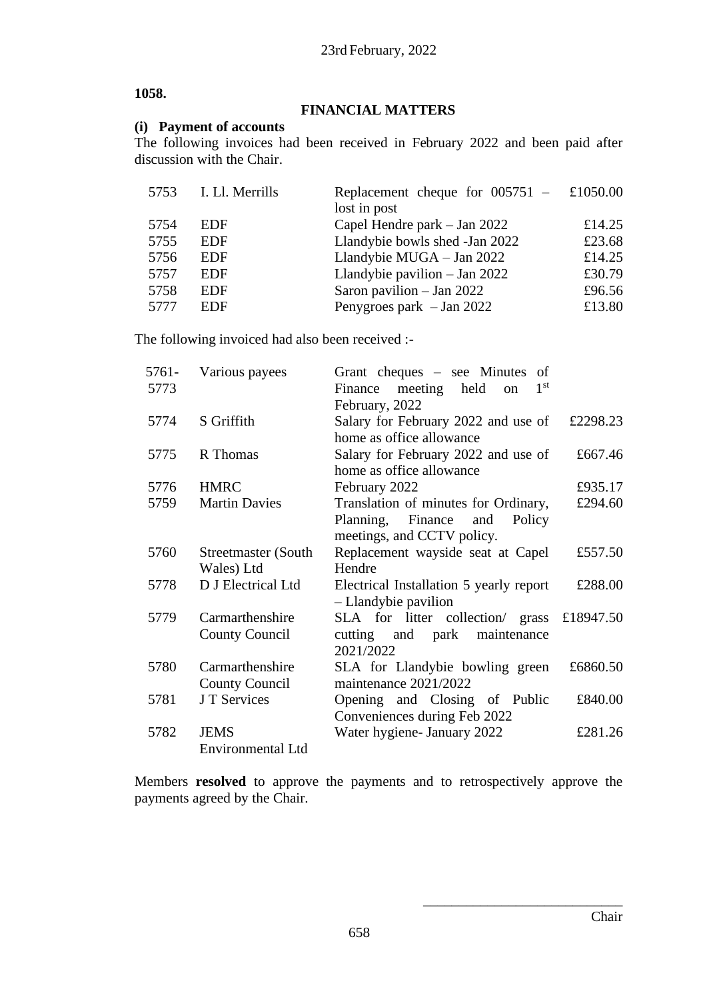#### **1058.**

#### **FINANCIAL MATTERS**

#### **(i) Payment of accounts**

The following invoices had been received in February 2022 and been paid after discussion with the Chair.

|      | 5753 I. Ll. Merrills | Replacement cheque for $005751 - \text{\textsterling}1050.00$ |        |
|------|----------------------|---------------------------------------------------------------|--------|
|      |                      | lost in post                                                  |        |
| 5754 | <b>EDF</b>           | Capel Hendre park – Jan 2022                                  | £14.25 |
| 5755 | <b>EDF</b>           | Llandybie bowls shed -Jan 2022                                | £23.68 |
| 5756 | <b>EDF</b>           | Llandybie MUGA - Jan 2022                                     | £14.25 |
| 5757 | <b>EDF</b>           | Llandybie pavilion $-$ Jan 2022                               | £30.79 |
| 5758 | <b>EDF</b>           | Saron pavilion $-$ Jan 2022                                   | £96.56 |
| 5777 | <b>EDF</b>           | Penygroes park $-$ Jan 2022                                   | £13.80 |

The following invoiced had also been received :-

| 5761- | Various payees           | Grant cheques – see Minutes of                           |           |
|-------|--------------------------|----------------------------------------------------------|-----------|
| 5773  |                          | 1 <sup>st</sup><br>Finance meeting held<br><sub>on</sub> |           |
|       |                          | February, 2022                                           |           |
| 5774  | S Griffith               | Salary for February 2022 and use of                      | £2298.23  |
|       |                          | home as office allowance                                 |           |
| 5775  | R Thomas                 | Salary for February 2022 and use of                      | £667.46   |
|       |                          | home as office allowance                                 |           |
| 5776  | <b>HMRC</b>              | February 2022                                            | £935.17   |
| 5759  | <b>Martin Davies</b>     | Translation of minutes for Ordinary,                     | £294.60   |
|       |                          | Planning, Finance and<br>Policy                          |           |
|       |                          | meetings, and CCTV policy.                               |           |
| 5760  | Streetmaster (South      | Replacement wayside seat at Capel                        | £557.50   |
|       | Wales) Ltd               | Hendre                                                   |           |
| 5778  | D J Electrical Ltd       | Electrical Installation 5 yearly report                  | £288.00   |
|       |                          | - Llandybie pavilion                                     |           |
| 5779  | Carmarthenshire          | SLA for litter collection/ grass                         | £18947.50 |
|       | <b>County Council</b>    | cutting and park maintenance                             |           |
|       |                          | 2021/2022                                                |           |
| 5780  | Carmarthenshire          | SLA for Llandybie bowling green                          | £6860.50  |
|       | <b>County Council</b>    | maintenance 2021/2022                                    |           |
| 5781  | J T Services             | Opening and Closing of Public                            | £840.00   |
|       |                          | Conveniences during Feb 2022                             |           |
| 5782  | <b>JEMS</b>              | Water hygiene- January 2022                              | £281.26   |
|       | <b>Environmental Ltd</b> |                                                          |           |
|       |                          |                                                          |           |

Members **resolved** to approve the payments and to retrospectively approve the payments agreed by the Chair.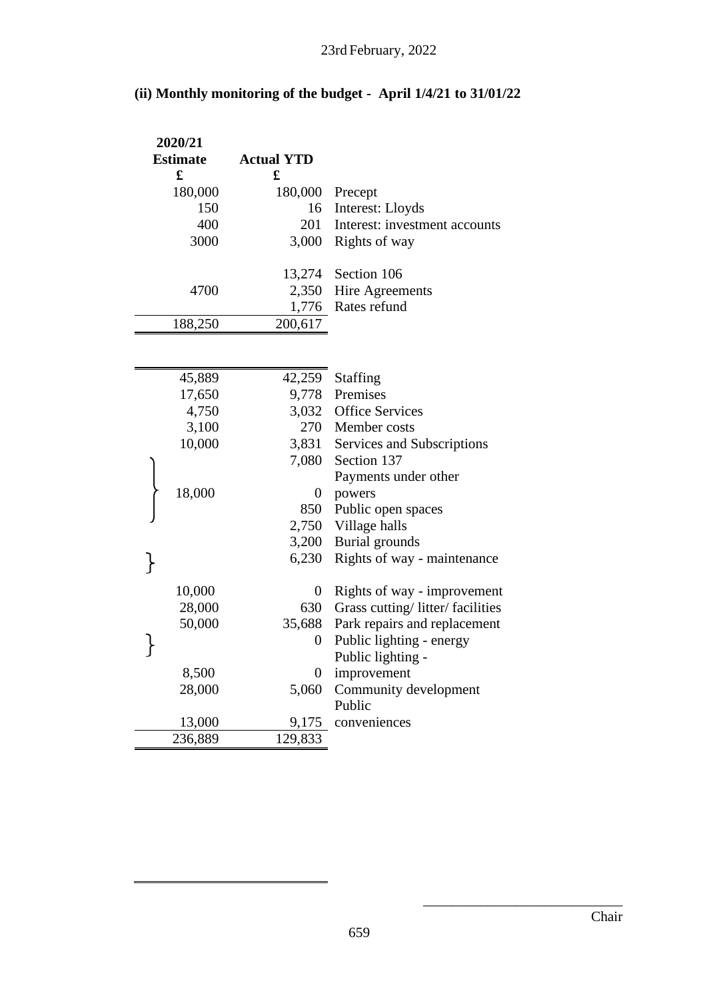|  | (ii) Monthly monitoring of the budget - April 1/4/21 to 31/01/22 |  |
|--|------------------------------------------------------------------|--|
|  |                                                                  |  |

| 2020/21         |                   |                                 |
|-----------------|-------------------|---------------------------------|
| <b>Estimate</b> | <b>Actual YTD</b> |                                 |
| $\mathbf f$     | £                 |                                 |
| 180,000         | 180,000           | Precept                         |
| 150             | 16                | Interest: Lloyds                |
| 400             | 201               | Interest: investment accounts   |
| 3000            | 3,000             | Rights of way                   |
|                 |                   |                                 |
|                 | 13,274            | Section 106                     |
| 4700            | 2,350             | Hire Agreements                 |
|                 | 1,776             | Rates refund                    |
| 188,250         | 200,617           |                                 |
|                 |                   |                                 |
|                 |                   |                                 |
| 45,889          | 42,259            | <b>Staffing</b>                 |
| 17,650          | 9,778             | Premises                        |
| 4,750           | 3,032             | <b>Office Services</b>          |
| 3,100           | 270               | Member costs                    |
| 10,000          | 3,831             | Services and Subscriptions      |
|                 | 7,080             | Section 137                     |
|                 |                   | Payments under other            |
| 18,000          | $\boldsymbol{0}$  | powers                          |
|                 | 850               | Public open spaces              |
|                 | 2,750             | Village halls                   |
|                 | 3,200             | Burial grounds                  |
| }               | 6,230             | Rights of way - maintenance     |
|                 |                   |                                 |
| 10,000          | $\boldsymbol{0}$  | Rights of way - improvement     |
| 28,000          | 630               | Grass cutting/litter/facilities |
| 50,000          | 35,688            | Park repairs and replacement    |
|                 | $\boldsymbol{0}$  | Public lighting - energy        |
|                 |                   | Public lighting -               |
| 8,500           | $\rm 0$           | improvement                     |
| 28,000          | 5,060             | Community development           |
|                 |                   | Public                          |
| 13,000          | 9,175             | conveniences                    |
| 236,889         | 129,833           |                                 |